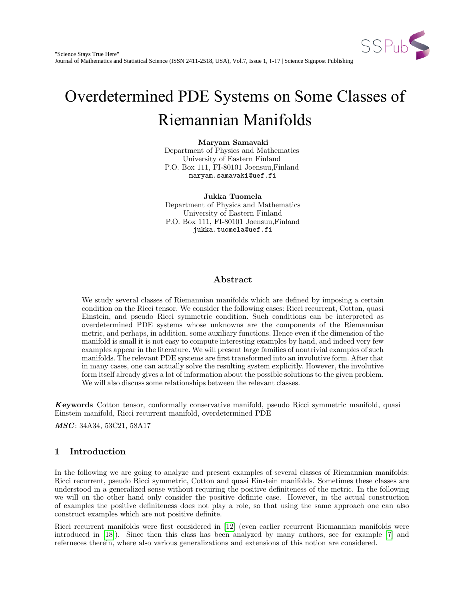

# <span id="page-0-0"></span>Overdetermined PDE Systems on Some Classes of Riemannian Manifolds

Maryam Samavaki Department of Physics and Mathematics University of Eastern Finland P.O. Box 111, FI-80101 Joensuu,Finland maryam.samavaki@uef.fi

Jukka Tuomela Department of Physics and Mathematics University of Eastern Finland P.O. Box 111, FI-80101 Joensuu,Finland jukka.tuomela@uef.fi

# Abstract

We study several classes of Riemannian manifolds which are defined by imposing a certain condition on the Ricci tensor. We consider the following cases: Ricci recurrent, Cotton, quasi Einstein, and pseudo Ricci symmetric condition. Such conditions can be interpreted as overdetermined PDE systems whose unknowns are the components of the Riemannian metric, and perhaps, in addition, some auxiliary functions. Hence even if the dimension of the manifold is small it is not easy to compute interesting examples by hand, and indeed very few examples appear in the literature. We will present large families of nontrivial examples of such manifolds. The relevant PDE systems are first transformed into an involutive form. After that in many cases, one can actually solve the resulting system explicitly. However, the involutive form itself already gives a lot of information about the possible solutions to the given problem. We will also discuss some relationships between the relevant classes.

Keywords Cotton tensor, conformally conservative manifold, pseudo Ricci symmetric manifold, quasi Einstein manifold, Ricci recurrent manifold, overdetermined PDE

*MSC*: 34A34, 53C21, 58A17

# 1 Introduction

In the following we are going to analyze and present examples of several classes of Riemannian manifolds: Ricci recurrent, pseudo Ricci symmetric, Cotton and quasi Einstein manifolds. Sometimes these classes are understood in a generalized sense without requiring the positive definiteness of the metric. In the following we will on the other hand only consider the positive definite case. However, in the actual construction of examples the positive definiteness does not play a role, so that using the same approach one can also construct examples which are not positive definite.

Ricci recurrent manifolds were first considered in [\[12\]](#page-16-0) (even earlier recurrent Riemannian manifolds were introduced in [\[18\]](#page-16-1)). Since then this class has been analyzed by many authors, see for example [\[7\]](#page-16-2) and referneces therein, where also various generalizations and extensions of this notion are considered.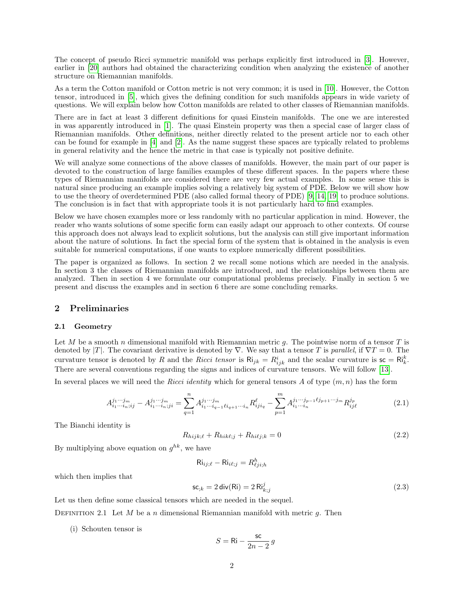The concept of pseudo Ricci symmetric manifold was perhaps explicitly first introduced in [\[3\]](#page-16-3). However, earlier in [\[20\]](#page-16-4) authors had obtained the characterizing condition when analyzing the existence of another structure on Riemannian manifolds.

As a term the Cotton manifold or Cotton metric is not very common; it is used in [\[10\]](#page-16-5). However, the Cotton tensor, introduced in [\[5\]](#page-16-6), which gives the defining condition for such manifolds appears in wide variety of questions. We will explain below how Cotton manifolds are related to other classes of Riemannian manifolds.

There are in fact at least 3 different definitions for quasi Einstein manifolds. The one we are interested in was apparently introduced in [\[1\]](#page-15-0). The quasi Einstein property was then a special case of larger class of Riemannian manifolds. Other definitions, neither directly related to the present article nor to each other can be found for example in [\[4\]](#page-16-7) and [\[2\]](#page-15-1). As the name suggest these spaces are typically related to problems in general relativity and the hence the metric in that case is typically not positive definite.

We will analyze some connections of the above classes of manifolds. However, the main part of our paper is devoted to the construction of large families examples of these different spaces. In the papers where these types of Riemannian manifolds are considered there are very few actual examples. In some sense this is natural since producing an example implies solving a relatively big system of PDE. Below we will show how to use the theory of overdetermined PDE (also called formal theory of PDE) [\[9,](#page-16-8) [14,](#page-16-9) [19\]](#page-16-10) to produce solutions. The conclusion is in fact that with appropriate tools it is not particularly hard to find examples.

Below we have chosen examples more or less randomly with no particular application in mind. However, the reader who wants solutions of some specific form can easily adapt our approach to other contexts. Of course this approach does not always lead to explicit solutions, but the analysis can still give important information about the nature of solutions. In fact the special form of the system that is obtained in the analysis is even suitable for numerical computations, if one wants to explore numerically different possibilities.

The paper is organized as follows. In section 2 we recall some notions which are needed in the analysis. In section 3 the classes of Riemannian manifolds are introduced, and the relationships between them are analyzed. Then in section 4 we formulate our computational problems precisely. Finally in section 5 we present and discuss the examples and in section 6 there are some concluding remarks.

# 2 Preliminaries

#### 2.1 Geometry

Let M be a smooth n dimensional manifold with Riemannian metric q. The pointwise norm of a tensor T is denoted by |T|. The covariant derivative is denoted by  $\nabla$ . We say that a tensor T is parallel, if  $\nabla T = 0$ . The curvature tensor is denoted by R and the Ricci tensor is  $\mathsf{Ri}_{jk} = R_{ijk}^i$  and the scalar curvature is  $\mathsf{sc} = \mathsf{Ri}_k^k$ . There are several conventions regarding the signs and indices of curvature tensors. We will follow [\[13\]](#page-16-11).

In several places we will need the Ricci identity which for general tensors A of type  $(m, n)$  has the form

$$
A_{i_1\cdots i_n;ij}^{j_1\cdots j_m} - A_{i_1\cdots i_n;ji}^{j_1\cdots j_m} = \sum_{q=1}^n A_{i_1\cdots i_{q-1}l i_{q+1}\cdots i_n}^{j_1\cdots j_m} R_{iji_q}^\ell - \sum_{p=1}^m A_{i_1\cdots i_n}^{j_1\cdots j_{p-1}l j_{p+1}\cdots j_m} R_{ij\ell}^{j_p}
$$
(2.1)

The Bianchi identity is

A

$$
R_{hijk;\ell} + R_{hik\ell;j} + R_{hi\ell j;k} = 0
$$
\n
$$
(2.2)
$$

By multiplying above equation on  $g^{hk}$ , we have

 ${\sf Ri}_{ij;\ell} - {\sf Ri}_{i\ell;j} = R^h_{\ell ji;h}$ 

which then implies that

<span id="page-1-0"></span>
$$
\mathsf{sc}_{;k} = 2 \operatorname{div}(\mathsf{Ri}) = 2 \operatorname{Ri}_{k;j}^j \tag{2.3}
$$

Let us then define some classical tensors which are needed in the sequel.

DEFINITION 2.1 Let M be a n dimensional Riemannian manifold with metric q. Then

(i) Schouten tensor is

$$
S = \mathrm{Ri} - \frac{\mathrm{sc}}{2n-2} \, g
$$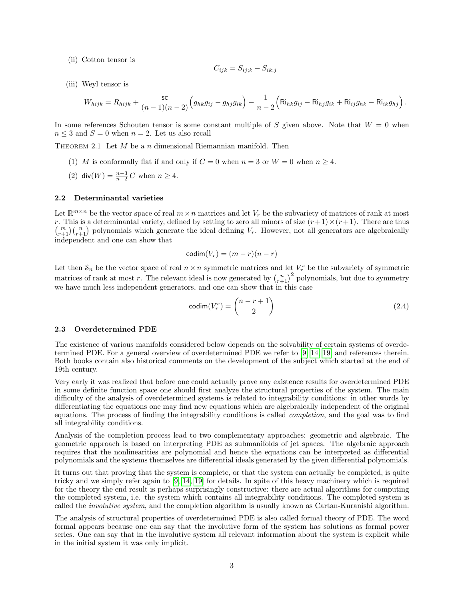(ii) Cotton tensor is

$$
C_{ijk} = S_{ij;k} - S_{ik;j}
$$

(iii) Weyl tensor is

$$
W_{hijk} = R_{hijk} + \frac{\mathsf{sc}}{(n-1)(n-2)} \Big( g_{hk} g_{ij} - g_{hj} g_{ik} \Big) - \frac{1}{n-2} \Big( \mathsf{Ri}_{hk} g_{ij} - \mathsf{Ri}_{hj} g_{ik} + \mathsf{Ri}_{ij} g_{hk} - \mathsf{Ri}_{ik} g_{hj} \Big) \,.
$$

In some references Schouten tensor is some constant multiple of S given above. Note that  $W = 0$  when  $n\leq 3$  and  $S=0$  when  $n=2.$  Let us also recall

<span id="page-2-0"></span>THEOREM 2.1 Let  $M$  be a n dimensional Riemannian manifold. Then

- (1) M is conformally flat if and only if  $C = 0$  when  $n = 3$  or  $W = 0$  when  $n \ge 4$ .
- (2) div( $W$ ) =  $\frac{n-3}{n-2}$  C when  $n \ge 4$ .

## 2.2 Determinantal varieties

Let  $\mathbb{R}^{m \times n}$  be the vector space of real  $m \times n$  matrices and let  $V_r$  be the subvariety of matrices of rank at most r. This is a determinantal variety, defined by setting to zero all minors of size  $(r+1) \times (r+1)$ . There are thus  $\binom{m}{r+1}\binom{n}{r+1}$  polynomials which generate the ideal defining  $V_r$ . However, not all generators are algebraically independent and one can show that

$$
\mathrm{codim}(V_r) = (m-r)(n-r)
$$

Let then  $S_n$  be the vector space of real  $n \times n$  symmetric matrices and let  $V_r^s$  be the subvariety of symmetric matrices of rank at most r. The relevant ideal is now generated by  $\binom{n}{r+1}^2$  polynomials, but due to symmetry we have much less independent generators, and one can show that in this case

<span id="page-2-1"></span>
$$
\text{codim}(V_r^s) = \binom{n-r+1}{2} \tag{2.4}
$$

#### 2.3 Overdetermined PDE

The existence of various manifolds considered below depends on the solvability of certain systems of overdetermined PDE. For a general overview of overdetermined PDE we refer to [\[9,](#page-16-8) [14,](#page-16-9) [19\]](#page-16-10) and references therein. Both books contain also historical comments on the development of the subject which started at the end of 19th century.

Very early it was realized that before one could actually prove any existence results for overdetermined PDE in some definite function space one should first analyze the structural properties of the system. The main difficulty of the analysis of overdetermined systems is related to integrability conditions: in other words by differentiating the equations one may find new equations which are algebraically independent of the original equations. The process of finding the integrability conditions is called completion, and the goal was to find all integrability conditions.

Analysis of the completion process lead to two complementary approaches: geometric and algebraic. The geometric approach is based on interpreting PDE as submanifolds of jet spaces. The algebraic approach requires that the nonlinearities are polynomial and hence the equations can be interpreted as differential polynomials and the systems themselves are differential ideals generated by the given differential polynomials.

It turns out that proving that the system is complete, or that the system can actually be completed, is quite tricky and we simply refer again to [\[9,](#page-16-8) [14,](#page-16-9) [19\]](#page-16-10) for details. In spite of this heavy machinery which is required for the theory the end result is perhaps surprisingly constructive: there are actual algorithms for computing the completed system, i.e. the system which contains all integrability conditions. The completed system is called the involutive system, and the completion algorithm is usually known as Cartan-Kuranishi algorithm.

The analysis of structural properties of overdetermined PDE is also called formal theory of PDE. The word formal appears because one can say that the involutive form of the system has solutions as formal power series. One can say that in the involutive system all relevant information about the system is explicit while in the initial system it was only implicit.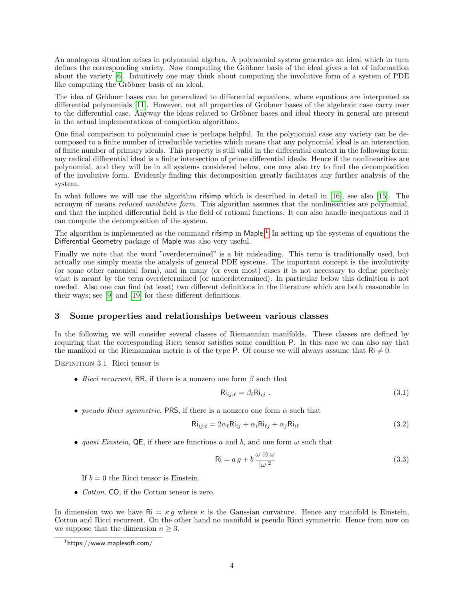An analogous situation arises in polynomial algebra. A polynomial system generates an ideal which in turn defines the corresponding variety. Now computing the Gröbner basis of the ideal gives a lot of information about the variety [\[6\]](#page-16-12). Intuitively one may think about computing the involutive form of a system of PDE like computing the Gröbner basis of an ideal.

The idea of Gröbner bases can be generalized to differential equations, where equations are interpreted as differential polynomials [\[11\]](#page-16-13). However, not all properties of Gröbner bases of the algebraic case carry over to the differential case. Anyway the ideas related to Gröbner bases and ideal theory in general are present in the actual implementations of completion algorithms.

One final comparison to polynomial case is perhaps helpful. In the polynomial case any variety can be decomposed to a finite number of irreducible varieties which means that any polynomial ideal is an intersection of finite number of primary ideals. This property is still valid in the differential context in the following form: any radical differential ideal is a finite intersection of prime differential ideals. Hence if the nonlinearities are polynomial, and they will be in all systems considered below, one may also try to find the decomposition of the involutive form. Evidently finding this decomposition greatly facilitates any further analysis of the system.

In what follows we will use the algorithm rifsimp which is described in detail in [\[16\]](#page-16-14), see also [\[15\]](#page-16-15). The acronym rif means reduced involutive form. This algorithm assumes that the nonlinearities are polynomial, and that the implied differential field is the field of rational functions. It can also handle inequations and it can compute the decomposition of the system.

The algorithm is implemented as the command rifsimp in Maple.<sup>[1](#page-3-0)</sup> In setting up the systems of equations the Differential Geometry package of Maple was also very useful.

Finally we note that the word "overdetermined" is a bit misleading. This term is traditionally used, but actually one simply means the analysis of general PDE systems. The important concept is the involutivity (or some other canonical form), and in many (or even most) cases it is not necessary to define precisely what is meant by the term overdetermined (or underdetermined). In particular below this definition is not needed. Also one can find (at least) two different definitions in the literature which are both reasonable in their ways; see [\[9\]](#page-16-8) and [\[19\]](#page-16-10) for these different definitions.

# 3 Some properties and relationships between various classes

In the following we will consider several classes of Riemannian manifolds. These classes are defined by requiring that the corresponding Ricci tensor satisfies some condition P. In this case we can also say that the manifold or the Riemannian metric is of the type P. Of course we will always assume that  $\text{Ri} \neq 0$ .

DEFINITION 3.1 Ricci tensor is

• Ricci recurrent, RR, if there is a nonzero one form  $\beta$  such that

<span id="page-3-2"></span><span id="page-3-1"></span>
$$
\text{Ri}_{ij;\ell} = \beta_{\ell} \text{Ri}_{ij} \tag{3.1}
$$

• pseudo Ricci symmetric, PRS, if there is a nonzero one form  $\alpha$  such that

$$
\text{Ri}_{ij;\ell} = 2\alpha_{\ell}\text{Ri}_{ij} + \alpha_i \text{Ri}_{\ell j} + \alpha_j \text{Ri}_{i\ell} \tag{3.2}
$$

• quasi Einstein, QE, if there are functions a and b, and one form  $\omega$  such that

<span id="page-3-3"></span>
$$
\text{Ri} = a g + b \frac{\omega \otimes \omega}{|\omega|^2} \tag{3.3}
$$

If  $b = 0$  the Ricci tensor is Einstein.

• *Cotton*, CO, if the Cotton tensor is zero.

In dimension two we have  $\mathsf{Ri} = \kappa g$  where  $\kappa$  is the Gaussian curvature. Hence any manifold is Einstein, Cotton and Ricci recurrent. On the other hand no manifold is pseudo Ricci symmetric. Hence from now on we suppose that the dimension  $n \geq 3$ .

<span id="page-3-0"></span> $1$ https://www.maplesoft.com/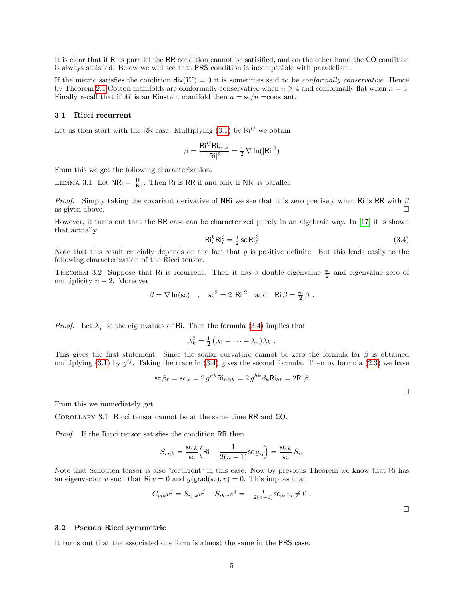It is clear that if Ri is parallel the RR condition cannot be satisified, and on the other hand the CO condition is always satisfied. Below we will see that PRS condition is incompatible with parallelism.

If the metric satisfies the condition  $div(W) = 0$  it is sometimes said to be *conformally conservative*. Hence by Theorem [2.1](#page-2-0) Cotton manifolds are conformally conservative when  $n \geq 4$  and conformally flat when  $n = 3$ . Finally recall that if M is an Einstein manifold then  $a = \mathsf{sc}/n = \text{constant}$ .

#### 3.1 Ricci recurrent

Let us then start with the RR case. Multiplying  $(3.1)$  by  $\mathsf{Ri}^{ij}$  we obtain

$$
\beta = \frac{\mathsf{Ri}^{ij}\mathsf{Ri}_{ij;k}}{|\mathsf{Ri}|^2} = \frac{1}{2}\nabla \ln(|\mathsf{Ri}|^2)
$$

From this we get the following characterization.

LEMMA 3.1 Let  $NRi = \frac{Ri}{|Ri|}$ . Then Ri is RR if and only if NRi is parallel.

*Proof.* Simply taking the covariant derivative of NRi we see that it is zero precisely when Ri is RR with  $\beta$ as given above.  $\square$ 

<span id="page-4-0"></span>However, it turns out that the RR case can be characterized purely in an algebraic way. In [\[17\]](#page-16-16) it is shown that actually

$$
\mathsf{Ri}_{\ell}^{k}\mathsf{Ri}_{\ell}^{i} = \frac{1}{2}\operatorname{sc}\mathsf{Ri}_{\ell}^{k} \tag{3.4}
$$

Note that this result crucially depends on the fact that  $g$  is positive definite. But this leads easily to the following characterization of the Ricci tensor.

<span id="page-4-1"></span>THEOREM 3.2 Suppose that Ri is recurrent. Then it has a double eigenvalue  $\frac{sc}{2}$  and eigenvalue zero of multiplicity  $n-2$ . Moreover

$$
\beta = \nabla \ln(\mathsf{sc}) \quad , \quad \mathsf{sc}^2 = 2 \, |\mathsf{Ri}|^2 \quad \text{and} \quad \mathsf{Ri} \, \beta = \tfrac{\mathsf{sc}}{2} \, \beta \ .
$$

*Proof.* Let  $\lambda_j$  be the eigenvalues of Ri. Then the formula [\(3.4\)](#page-4-0) implies that

$$
\lambda_k^2 = \frac{1}{2} \left( \lambda_1 + \dots + \lambda_n \right) \lambda_k \; .
$$

This gives the first statement. Since the scalar curvature cannot be zero the formula for  $\beta$  is obtained multiplying [\(3.1\)](#page-3-1) by  $g^{ij}$ . Taking the trace in [\(3.4\)](#page-4-0) gives the second formula. Then by formula [\(2.3\)](#page-1-0) we have

$$
\mathsf{sc}\,\beta_\ell = s c_{;\ell} = 2\, g^{hk} \mathsf{Ri}_{h\ell;k} = 2\, g^{hk} \beta_k \mathsf{Ri}_{h\ell} = 2 \mathsf{Ri}\,\beta
$$

 $\Box$ 

From this we immediately get

Corollary 3.1 Ricci tensor cannot be at the same time RR and CO.

Proof. If the Ricci tensor satisfies the condition RR then

$$
S_{ij;k} = \frac{\mathsf{sc}_{;k}}{\mathsf{sc}} \Big( \mathsf{R} \mathsf{i} - \frac{1}{2(n-1)} \mathsf{sc} \, g_{ij} \Big) = \frac{\mathsf{sc}_{;k}}{\mathsf{sc}} \, S_{ij}
$$

Note that Schouten tensor is also "recurrent" in this case. Now by previous Theorem we know that Ri has an eigenvector v such that  $\text{Ri } v = 0$  and  $g(\text{grad}(\text{sc}), v) = 0$ . This implies that

$$
C_{ijk}v^j = S_{ij;k}v^j - S_{ik;j}v^j = -\frac{1}{2(n-1)}\mathsf{sc}_{jk} v_i \neq 0.
$$

 $\Box$ 

## 3.2 Pseudo Ricci symmetric

It turns out that the associated one form is almost the same in the PRS case.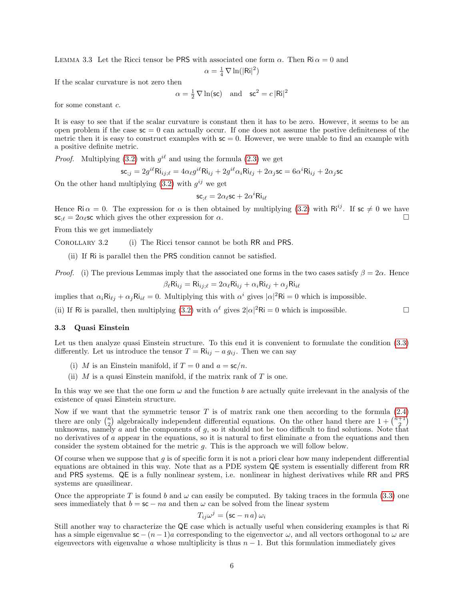<span id="page-5-0"></span>LEMMA 3.3 Let the Ricci tensor be PRS with associated one form  $\alpha$ . Then Ri  $\alpha = 0$  and

$$
\alpha = \tfrac{1}{4} \, \nabla \ln(|\mathsf{Ri}|^2)
$$

If the scalar curvature is not zero then

 $\alpha = \frac{1}{2} \nabla \ln(\mathsf{sc})$  and  $\mathsf{sc}^2 = c |\mathsf{Ri}|^2$ 

for some constant c.

It is easy to see that if the scalar curvature is constant then it has to be zero. However, it seems to be an open problem if the case  $\mathsf{sc} = 0$  can actually occur. If one does not assume the postive definiteness of the metric then it is easy to construct examples with  $\mathsf{sc} = 0$ . However, we were unable to find an example with a positive definite metric.

*Proof.* Multiplying [\(3.2\)](#page-3-2) with  $g^{i\ell}$  and using the formula [\(2.3\)](#page-1-0) we get

$$
\mathsf{sc}_{;j}=2g^{i\ell}\mathsf{Ri}_{ij;\ell}=4\alpha_\ell g^{i\ell}\mathsf{Ri}_{ij}+2g^{i\ell}\alpha_i\mathsf{Ri}_{\ell j}+2\alpha_j\mathsf{sc}=6\alpha^i\mathsf{Ri}_{ij}+2\alpha_j\mathsf{sc}
$$

On the other hand multiplying  $(3.2)$  with  $g^{ij}$  we get

$$
\mathsf{sc}_{;\ell} = 2\alpha_\ell \mathsf{sc} + 2\alpha^i \mathsf{Ri}_{i\ell}
$$

Hence Ri  $\alpha = 0$ . The expression for  $\alpha$  is then obtained by multiplying [\(3.2\)](#page-3-2) with Ri<sup>ij</sup>. If sc  $\neq 0$  we have  $\mathsf{sc}_{\ell} = 2\alpha_{\ell} \mathsf{sc}$  which gives the other expression for  $\alpha$ .

From this we get immediately

Corollary 3.2 (i) The Ricci tensor cannot be both RR and PRS.

(ii) If Ri is parallel then the PRS condition cannot be satisfied.

*Proof.* (i) The previous Lemmas imply that the associated one forms in the two cases satisfy  $\beta = 2\alpha$ . Hence  $\beta_{\ell}$ Ri<sub>ij</sub> = Ri<sub>ij: $\ell = 2\alpha_{\ell}$ Ri<sub>ij</sub> +  $\alpha_i$ Ri<sub> $\ell_j$ </sub> +  $\alpha_j$ Ri<sub>i $\ell$ </sub></sub>

implies that  $\alpha_i Ri_{\ell j} + \alpha_j Ri_{i\ell} = 0$ . Multiplying this with  $\alpha^i$  gives  $|\alpha|^2 Ri = 0$  which is impossible.

(ii) If Ri is parallel, then multiplying [\(3.2\)](#page-3-2) with  $\alpha^{\ell}$  gives  $2|\alpha|^2$ Ri = 0 which is impossible.

#### 3.3 Quasi Einstein

Let us then analyze quasi Einstein structure. To this end it is convenient to formulate the condition  $(3.3)$ differently. Let us introduce the tensor  $T = Ri_{ij} - a g_{ij}$ . Then we can say

- (i) M is an Einstein manifold, if  $T = 0$  and  $a = sc/n$ .
- (ii)  $M$  is a quasi Einstein manifold, if the matrix rank of  $T$  is one.

In this way we see that the one form  $\omega$  and the function b are actually quite irrelevant in the analysis of the existence of quasi Einstein structure.

Now if we want that the symmetric tensor  $T$  is of matrix rank one then according to the formula  $(2.4)$ there are only  $\binom{n}{2}$  algebraically independent differential equations. On the other hand there are  $1 + \binom{n+1}{2}$ unknowns, namely a and the components of  $g$ , so it should not be too difficult to find solutions. Note that no derivatives of a appear in the equations, so it is natural to first eliminate a from the equations and then consider the system obtained for the metric g. This is the approach we will follow below.

Of course when we suppose that  $g$  is of specific form it is not a priori clear how many independent differential equations are obtained in this way. Note that as a PDE system QE system is essentially different from RR and PRS systems. QE is a fully nonlinear system, i.e. nonlinear in highest derivatives while RR and PRS systems are quasilinear.

Once the appropriate T is found b and  $\omega$  can easily be computed. By taking traces in the formula [\(3.3\)](#page-3-3) one sees immediately that  $b = \mathsf{sc} - na$  and then  $\omega$  can be solved from the linear system

$$
T_{ij}\omega^j = (\mathsf{sc} - n\,a)\,\omega_i
$$

Still another way to characterize the QE case which is actually useful when considering examples is that Ri has a simple eigenvalue  $\mathsf{sc} - (n-1)a$  corresponding to the eigenvector  $\omega$ , and all vectors orthogonal to  $\omega$  are eigenvectors with eigenvalue a whose multiplicity is thus  $n - 1$ . But this formulation immediately gives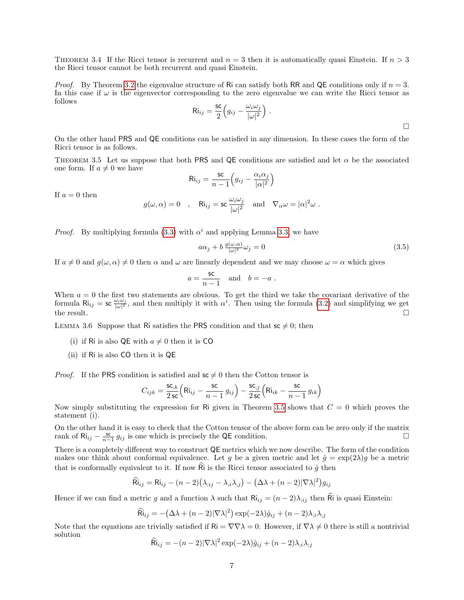THEOREM 3.4 If the Ricci tensor is recurrent and  $n = 3$  then it is automatically quasi Einstein. If  $n > 3$ the Ricci tensor cannot be both recurrent and quasi Einstein.

*Proof.* By Theorem [3.2](#page-4-1) the eigenvalue structure of Ri can satisfy both RR and QE conditions only if  $n = 3$ . In this case if  $\omega$  is the eigenvector corresponding to the zero eigenvalue we can write the Ricci tensor as follows

$$
\mathrm{Ri}_{ij} = \frac{\mathrm{sc}}{2} \Big( g_{ij} - \frac{\omega_i \omega_j}{|\omega|^2} \Big) \ .
$$

On the other hand PRS and QE conditions can be satisfied in any dimension. In these cases the form of the Ricci tensor is as follows.

<span id="page-6-0"></span>THEOREM 3.5 Let us suppose that both PRS and QE conditions are satisfied and let  $\alpha$  be the associated one form. If  $a \neq 0$  we have

$$
\mathrm{Ri}_{ij} = \frac{\mathrm{sc}}{n-1}\Big(g_{ij} - \frac{\alpha_i\alpha_j}{|\alpha|^2}\Big)
$$

If  $a = 0$  then

$$
g(\omega, \alpha) = 0
$$
, Ri<sub>ij</sub> = sc  $\frac{\omega_i \omega_j}{|\omega|^2}$  and  $\nabla_{\alpha} \omega = |\alpha|^2 \omega$ .

*Proof.* By multiplying formula [\(3.3\)](#page-3-3) with  $\alpha^{i}$  and applying Lemma [3.3,](#page-5-0) we have

$$
a\alpha_j + b \frac{g(\omega,\alpha)}{|\omega|^2} \omega_j = 0 \tag{3.5}
$$

If  $a \neq 0$  and  $g(\omega, \alpha) \neq 0$  then  $\alpha$  and  $\omega$  are linearly dependent and we may choose  $\omega = \alpha$  which gives

$$
a = \frac{\mathsf{sc}}{n-1}
$$
 and  $b = -a$ .

When  $a = 0$  the first two statements are obvious. To get the third we take the covariant derivative of the formula  $\text{Ri}_{ij} = \text{sc} \frac{\omega_i \omega_j}{|\omega|^2}$ , and then multiply it with  $\alpha^i$ . Then using the formula [\(3.2\)](#page-3-2) and simplifying we get the result.  $\Box$ 

<span id="page-6-1"></span>LEMMA 3.6 Suppose that Ri satisfies the PRS condition and that  $\mathsf{sc} \neq 0$ ; then

- (i) if Ri is also QE with  $a \neq 0$  then it is CO
- (ii) if Ri is also CO then it is QE

*Proof.* If the PRS condition is satisfied and  $\mathsf{sc} \neq 0$  then the Cotton tensor is

$$
C_{ijk} = \frac{\mathsf{sc}_{jk}}{2\,\mathsf{sc}} \Big( \mathsf{Ri}_{ij} - \frac{\mathsf{sc}}{n-1} \, g_{ij} \Big) - \frac{\mathsf{sc}_{;j}}{2\,\mathsf{sc}} \Big( \mathsf{Ri}_{ik} - \frac{\mathsf{sc}}{n-1} \, g_{ik} \Big)
$$

Now simply substituting the expression for Ri given in Theorem [3.5](#page-6-0) shows that  $C = 0$  which proves the statement (i).

On the other hand it is easy to check that the Cotton tensor of the above form can be zero only if the matrix rank of  $\text{Ri}_{ij} - \frac{\text{sc}}{n-1} g_{ij}$  is one which is precisely the QE condition.

There is a completely different way to construct QE metrics which we now describe. The form of the condition makes one think about conformal equivalence. Let g be a given metric and let  $\hat{g} = \exp(2\lambda)g$  be a metric that is conformally equivalent to it. If now  $\hat{R}$  is the Ricci tensor associated to  $\hat{q}$  then

$$
\widehat{\text{Ri}}_{ij} = \text{Ri}_{ij} - (n-2)(\lambda_{;ij} - \lambda_{;i}\lambda_{;j}) - (\Delta\lambda + (n-2)|\nabla\lambda|^2)g_{ij}
$$

Hence if we can find a metric g and a function  $\lambda$  such that  $\text{Ri}_{ij} = (n-2)\lambda_{ij}$  then Ri is quasi Einstein:

$$
\widehat{\text{Ri}}_{ij} = -(\Delta\lambda + (n-2)|\nabla\lambda|^2) \exp(-2\lambda)\hat{g}_{ij} + (n-2)\lambda_{;i}\lambda_{;j}
$$

Note that the equations are trivially satisfied if  $\mathsf{Ri} = \nabla \nabla \lambda = 0$ . However, if  $\nabla \lambda \neq 0$  there is still a nontrivial solution

$$
\widehat{\mathsf{R}}i_{ij} = -(n-2)|\nabla\lambda|^2 \exp(-2\lambda)\hat{g}_{ij} + (n-2)\lambda_{;i}\lambda_{;j}
$$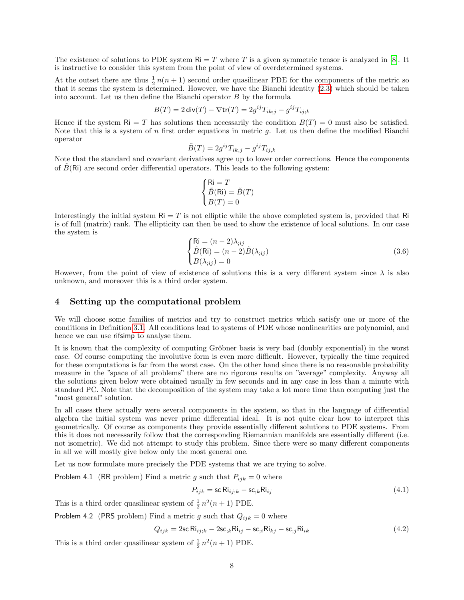The existence of solutions to PDE system  $\mathsf{Ri} = T$  where T is a given symmetric tensor is analyzed in [\[8\]](#page-16-17). It is instructive to consider this system from the point of view of overdetermined systems.

At the outset there are thus  $\frac{1}{2}n(n+1)$  second order quasilinear PDE for the components of the metric so that it seems the system is determined. However, we have the Bianchi identity [\(2.3\)](#page-1-0) which should be taken into account. Let us then define the Bianchi operator B by the formula

$$
B(T) = 2 \operatorname{div}(T) - \nabla \operatorname{tr}(T) = 2g^{ij} T_{ik;j} - g^{ij} T_{ij;k}
$$

Hence if the system  $\mathsf{R} = T$  has solutions then necessarily the condition  $B(T) = 0$  must also be satisfied. Note that this is a system of n first order equations in metric  $g$ . Let us then define the modified Bianchi operator

$$
\tilde{B}(T) = 2g^{ij}T_{ik,j} - g^{ij}T_{ij,k}
$$

Note that the standard and covariant derivatives agree up to lower order corrections. Hence the components of  $\hat{B}(R_i)$  are second order differential operators. This leads to the following system:

$$
\begin{cases}\n\mathbf{Ri} = T \\
\tilde{B}(\mathbf{Ri}) = \tilde{B}(T) \\
B(T) = 0\n\end{cases}
$$

<span id="page-7-0"></span>Interestingly the initial system  $\text{Ri} = T$  is not elliptic while the above completed system is, provided that Ri is of full (matrix) rank. The ellipticity can then be used to show the existence of local solutions. In our case the system is

$$
\begin{cases}\n\text{Ri} = (n-2)\lambda_{;ij} \\
\tilde{B}(\text{Ri}) = (n-2)\tilde{B}(\lambda_{;ij}) \\
B(\lambda_{;ij}) = 0\n\end{cases}
$$
\n(3.6)

However, from the point of view of existence of solutions this is a very different system since  $\lambda$  is also unknown, and moreover this is a third order system.

### 4 Setting up the computational problem

We will choose some families of metrics and try to construct metrics which satisfy one or more of the conditions in Definition [3.1.](#page-3-3) All conditions lead to systems of PDE whose nonlinearities are polynomial, and hence we can use rifsimp to analyse them.

It is known that the complexity of computing Gröbner basis is very bad (doubly exponential) in the worst case. Of course computing the involutive form is even more difficult. However, typically the time required for these computations is far from the worst case. On the other hand since there is no reasonable probability measure in the "space of all problems" there are no rigorous results on "average" complexity. Anyway all the solutions given below were obtained usually in few seconds and in any case in less than a minute with standard PC. Note that the decomposition of the system may take a lot more time than computing just the "most general" solution.

In all cases there actually were several components in the system, so that in the language of differential algebra the initial system was never prime differential ideal. It is not quite clear how to interpret this geometrically. Of course as components they provide essentially different solutions to PDE systems. From this it does not necessarily follow that the corresponding Riemannian manifolds are essentially different (i.e. not isometric). We did not attempt to study this problem. Since there were so many different components in all we will mostly give below only the most general one.

Let us now formulate more precisely the PDE systems that we are trying to solve.

**Problem 4.1** (RR problem) Find a metric g such that  $P_{ijk} = 0$  where

<span id="page-7-2"></span><span id="page-7-1"></span>
$$
P_{ijk} = \text{sc Ri}_{ij;k} - \text{sc}_{jk} \text{Ri}_{ij} \tag{4.1}
$$

This is a third order quasilinear system of  $\frac{1}{2}n^2(n+1)$  PDE.

Problem 4.2 (PRS problem) Find a metric g such that  $Q_{ijk} = 0$  where

$$
Q_{ijk} = 2\text{sc Ri}_{ij;k} - 2\text{sc}_{jk}\text{Ri}_{ij} - \text{sc}_{jk}\text{Ri}_{kj} - \text{sc}_{jj}\text{Ri}_{ik}
$$
\n(4.2)

This is a third order quasilinear system of  $\frac{1}{2}n^2(n+1)$  PDE.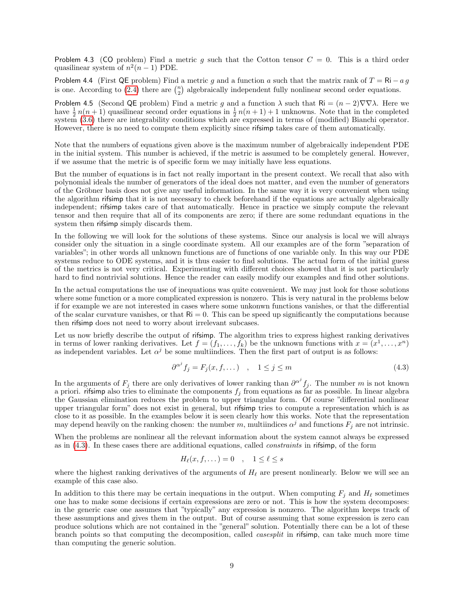<span id="page-8-1"></span>Problem 4.3 (CO problem) Find a metric q such that the Cotton tensor  $C = 0$ . This is a third order quasilinear system of  $n^2(n-1)$  PDE.

<span id="page-8-2"></span>Problem 4.4 (First QE problem) Find a metric g and a function a such that the matrix rank of  $T = Ri - a g$ is one. According to [\(2.4\)](#page-2-1) there are  $\binom{n}{2}$  algebraically independent fully nonlinear second order equations.

<span id="page-8-3"></span>Problem 4.5 (Second QE problem) Find a metric g and a function  $\lambda$  such that  $\mathsf{R}i = (n-2)\nabla\nabla\lambda$ . Here we have  $\frac{1}{2}n(n+1)$  quasilinear second order equations in  $\frac{1}{2}n(n+1)+1$  unknowns. Note that in the completed system [\(3.6\)](#page-7-0) there are integrability conditions which are expressed in terms of (modified) Bianchi operator. However, there is no need to compute them explicitly since rifsimp takes care of them automatically.

Note that the numbers of equations given above is the maximum number of algebraically independent PDE in the initial system. This number is achieved, if the metric is assumed to be completely general. However, if we assume that the metric is of specific form we may initially have less equations.

But the number of equations is in fact not really important in the present context. We recall that also with polynomial ideals the number of generators of the ideal does not matter, and even the number of generators of the Gröbner basis does not give any useful information. In the same way it is very convenient when using the algorithm rifsimp that it is not necessary to check beforehand if the equations are actually algebraically independent; rifsimp takes care of that automatically. Hence in practice we simply compute the relevant tensor and then require that all of its components are zero; if there are some redundant equations in the system then rifsimp simply discards them.

In the following we will look for the solutions of these systems. Since our analysis is local we will always consider only the situation in a single coordinate system. All our examples are of the form "separation of variables"; in other words all unknown functions are of functions of one variable only. In this way our PDE systems reduce to ODE systems, and it is thus easier to find solutions. The actual form of the initial guess of the metrics is not very critical. Experimenting with different choices showed that it is not particularly hard to find nontrivial solutions. Hence the reader can easily modify our examples and find other solutions.

In the actual computations the use of inequations was quite convenient. We may just look for those solutions where some function or a more complicated expression is nonzero. This is very natural in the problems below if for example we are not interested in cases where some unkonwn functions vanishes, or that the differential of the scalar curvature vanishes, or that  $\mathsf{Ri} = 0$ . This can be speed up significantly the computations because then rifsimp does not need to worry about irrelevant subcases.

Let us now briefly describe the output of rifsimp. The algorithm tries to express highest ranking derivatives in terms of lower ranking derivatives. Let  $f = (f_1, \ldots, f_k)$  be the unknown functions with  $x = (x^1, \ldots, x^n)$ as independent variables. Let  $\alpha^j$  be some multiindices. Then the first part of output is as follows:

<span id="page-8-0"></span>
$$
\partial^{\alpha^j} f_j = F_j(x, f, \dots) \quad , \quad 1 \le j \le m \tag{4.3}
$$

In the arguments of  $F_j$  there are only derivatives of lower ranking than  $\partial^{\alpha^j} f_j$ . The number m is not known a priori. rifsimp also tries to eliminate the components  $f_j$  from equations as far as possible. In linear algebra the Gaussian elimination reduces the problem to upper triangular form. Of course "differential nonlinear upper triangular form" does not exist in general, but rifsimp tries to compute a representation which is as close to it as possible. In the examples below it is seen clearly how this works. Note that the representation may depend heavily on the ranking chosen: the number m, multiindices  $\alpha^j$  and functions  $F_j$  are not intrinsic.

When the problems are nonlinear all the relevant information about the system cannot always be expressed as in [\(4.3\)](#page-8-0). In these cases there are additional equations, called constraints in rifsimp, of the form

$$
H_{\ell}(x, f, \dots) = 0 \quad , \quad 1 \leq \ell \leq s
$$

where the highest ranking derivatives of the arguments of  $H_\ell$  are present nonlinearly. Below we will see an example of this case also.

In addition to this there may be certain inequations in the output. When computing  $F_j$  and  $H_\ell$  sometimes one has to make some decisions if certain expressions are zero or not. This is how the system decomposes: in the generic case one assumes that "typically" any expression is nonzero. The algorithm keeps track of these assumptions and gives them in the output. But of course assuming that some expression is zero can produce solutions which are not contained in the "general" solution. Potentially there can be a lot of these branch points so that computing the decomposition, called casesplit in rifsimp, can take much more time than computing the generic solution.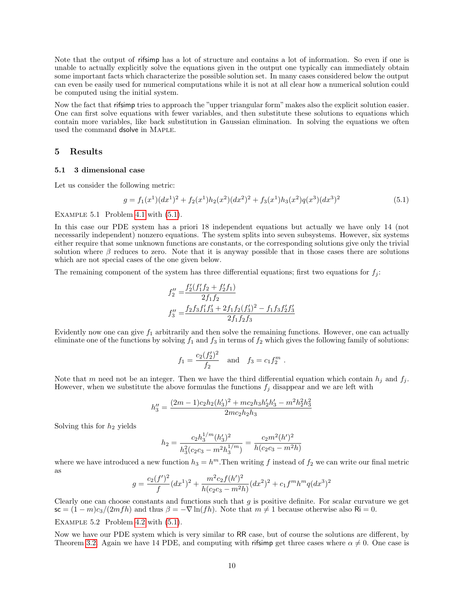Note that the output of rifsimp has a lot of structure and contains a lot of information. So even if one is unable to actually explicitly solve the equations given in the output one typically can immediately obtain some important facts which characterize the possible solution set. In many cases considered below the output can even be easily used for numerical computations while it is not at all clear how a numerical solution could be computed using the initial system.

Now the fact that rifsimp tries to approach the "upper triangular form" makes also the explicit solution easier. One can first solve equations with fewer variables, and then substitute these solutions to equations which contain more variables, like back substitution in Gaussian elimination. In solving the equations we often used the command dsolve in Maple.

#### 5 Results

#### 5.1 3 dimensional case

Let us consider the following metric:

<span id="page-9-0"></span>
$$
g = f_1(x^1)(dx^1)^2 + f_2(x^1)h_2(x^2)(dx^2)^2 + f_3(x^1)h_3(x^2)q(x^3)(dx^3)^2
$$
\n(5.1)

.

EXAMPLE 5.1 Problem [4.1](#page-7-1) with  $(5.1)$ .

In this case our PDE system has a priori 18 independent equations but actually we have only 14 (not necessarily independent) nonzero equations. The system splits into seven subsystems. However, six systems either require that some unknown functions are constants, or the corresponding solutions give only the trivial solution where  $\beta$  reduces to zero. Note that it is anyway possible that in those cases there are solutions which are not special cases of the one given below.

The remaining component of the system has three differential equations; first two equations for  $f_j$ :

$$
f_2'' = \frac{f_2'(f_1' f_2 + f_2' f_1)}{2f_1 f_2}
$$
  

$$
f_3'' = \frac{f_2 f_3 f_1' f_3' + 2 f_1 f_2 (f_3')^2 - f_1 f_3 f_2' f_3'}{2f_1 f_2 f_3}
$$

Evidently now one can give  $f_1$  arbitrarily and then solve the remaining functions. However, one can actually eliminate one of the functions by solving  $f_1$  and  $f_3$  in terms of  $f_2$  which gives the following family of solutions:

$$
f_1 = \frac{c_2(f'_2)^2}{f_2}
$$
 and  $f_3 = c_1 f_2^m$ 

Note that m need not be an integer. Then we have the third differential equation which contain  $h_j$  and  $f_j$ . However, when we substitute the above formulas the functions  $f_j$  disappear and we are left with

$$
h_3'' = \frac{(2m-1)c_2h_2(h_3')^2 + mc_2h_3h_2'h_3' - m^2h_2^2h_3^2}{2mc_2h_2h_3}
$$

Solving this for  $h_2$  yields

$$
h_2 = \frac{c_2 h_3^{1/m} (h_3')^2}{h_3^2 (c_2 c_3 - m^2 h_3^{1/m})} = \frac{c_2 m^2 (h')^2}{h (c_2 c_3 - m^2 h)}
$$

where we have introduced a new function  $h_3 = h^m$ . Then writing f instead of  $f_2$  we can write our final metric as

$$
g = \frac{c_2(f')^2}{f}(dx^1)^2 + \frac{m^2c_2f(h')^2}{h(c_2c_3 - m^2h)}(dx^2)^2 + c_1f^mh^mq(dx^3)^2
$$

Clearly one can choose constants and functions such that  $q$  is positive definite. For scalar curvature we get  $\mathsf{sc} = (1-m)c_3/(2mfh)$  and thus  $\beta = -\nabla \ln(fh)$ . Note that  $m \neq 1$  because otherwise also Ri = 0.

#### EXAMPLE 5.2 Problem [4.2](#page-7-2) with  $(5.1)$ .

Now we have our PDE system which is very similar to RR case, but of course the solutions are different, by Theorem [3.2.](#page-0-0) Again we have 14 PDE, and computing with rifsimp get three cases where  $\alpha \neq 0$ . One case is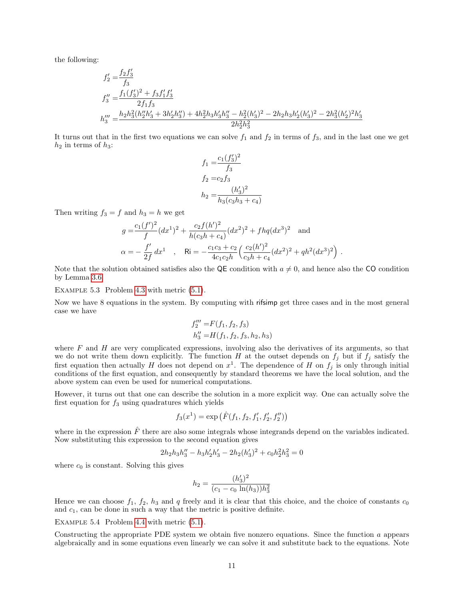the following:

$$
f_2' = \frac{f_2 f_3'}{f_3}
$$
  
\n
$$
f_3'' = \frac{f_1(f_3')^2 + f_3 f_1' f_3'}{2f_1 f_3}
$$
  
\n
$$
h_3''' = \frac{h_2 h_3^2 (h_2'' h_3' + 3h_2' h_3'') + 4h_2^2 h_3 h_3' h_3'' - h_2^2 (h_3')^2 - 2h_2 h_3 h_2' (h_3')^2 - 2h_3^2 (h_2')^2 h_3'}{2h_2^2 h_3^2}
$$

It turns out that in the first two equations we can solve  $f_1$  and  $f_2$  in terms of  $f_3$ , and in the last one we get  $h_2$  in terms of  $h_3$ :

$$
f_1 = \frac{c_1(f_3')^2}{f_3}
$$
  
\n
$$
f_2 = c_2 f_3
$$
  
\n
$$
h_2 = \frac{(h_3')^2}{h_3(c_3h_3 + c_4)}
$$

Then writing  $f_3 = f$  and  $h_3 = h$  we get

$$
g = \frac{c_1(f')^2}{f} (dx^1)^2 + \frac{c_2 f(h')^2}{h(c_3 h + c_4)} (dx^2)^2 + f h q (dx^3)^2 \text{ and}
$$
  

$$
\alpha = -\frac{f'}{2f} dx^1 , \text{ Ri} = -\frac{c_1 c_3 + c_2}{4c_1 c_2 h} \left(\frac{c_2(h')^2}{c_3 h + c_4} (dx^2)^2 + q h^2 (dx^3)^2\right).
$$

Note that the solution obtained satisfies also the QE condition with  $a \neq 0$ , and hence also the CO condition by Lemma [3.6.](#page-6-1)

EXAMPLE 5.3 Problem [4.3](#page-8-1) with metric  $(5.1)$ .

Now we have 8 equations in the system. By computing with rifsimp get three cases and in the most general case we have

$$
f_2''' = F(f_1, f_2, f_3)
$$
  

$$
h_3'' = H(f_1, f_2, f_3, h_2, h_3)
$$

where  $F$  and  $H$  are very complicated expressions, involving also the derivatives of its arguments, so that we do not write them down explicitly. The function H at the outset depends on  $f_j$  but if  $f_j$  satisfy the first equation then actually H does not depend on  $x^1$ . The dependence of H on  $f_j$  is only through initial conditions of the first equation, and consequently by standard theorems we have the local solution, and the above system can even be used for numerical computations.

However, it turns out that one can describe the solution in a more explicit way. One can actually solve the first equation for  $f_3$  using quadratures which yields

$$
f_3(x^1) = \exp\left(\hat{F}(f_1, f_2, f_1', f_2', f_2'')\right)
$$

where in the expression  $\overline{F}$  there are also some integrals whose integrands depend on the variables indicated. Now substituting this expression to the second equation gives

$$
2h_2h_3h_3'' - h_3h_2'h_3' - 2h_2(h_3')^2 + c_0h_2^2h_3^2 = 0
$$

where  $c_0$  is constant. Solving this gives

$$
h_2 = \frac{(h'_3)^2}{(c_1 - c_0 \ln(h_3))h_3^2}
$$

Hence we can choose  $f_1$ ,  $f_2$ ,  $h_3$  and q freely and it is clear that this choice, and the choice of constants  $c_0$ and  $c_1$ , can be done in such a way that the metric is positive definite.

EXAMPLE 5.4 Problem [4.4](#page-8-2) with metric  $(5.1)$ .

Constructing the appropriate PDE system we obtain five nonzero equations. Since the function a appears algebraically and in some equations even linearly we can solve it and substitute back to the equations. Note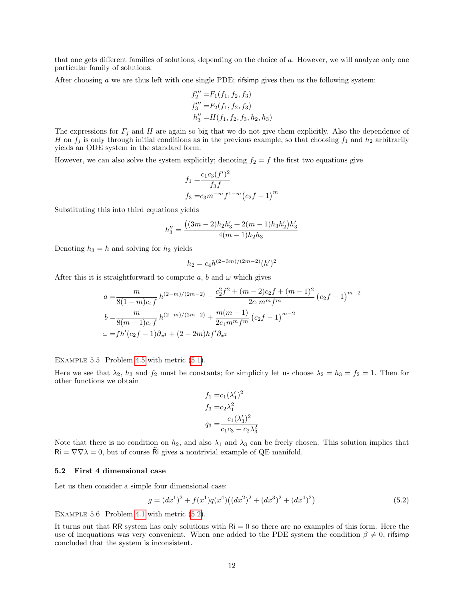that one gets different families of solutions, depending on the choice of a. However, we will analyze only one particular family of solutions.

After choosing a we are thus left with one single PDE; rifsimp gives then us the following system:

$$
f_2''' = F_1(f_1, f_2, f_3)
$$
  
\n
$$
f_3''' = F_2(f_1, f_2, f_3)
$$
  
\n
$$
h_3'' = H(f_1, f_2, f_3, h_2, h_3)
$$

The expressions for  $F_j$  and H are again so big that we do not give them explicitly. Also the dependence of H on  $f_j$  is only through initial conditions as in the previous example, so that choosing  $f_1$  and  $h_2$  arbitrarily yields an ODE system in the standard form.

However, we can also solve the system explicitly; denoting  $f_2 = f$  the first two equations give

$$
f_1 = \frac{c_1 c_3 (f')^2}{f_3 f}
$$
  
\n
$$
f_3 = c_3 m^{-m} f^{1-m} (c_2 f - 1)^m
$$

Substituting this into third equations yields

$$
h''_3 = \frac{((3m-2)h_2h'_3 + 2(m-1)h_3h'_2)h'_3}{4(m-1)h_2h_3}
$$

Denoting  $h_3 = h$  and solving for  $h_2$  yields

$$
h_2 = c_4 h^{(2-3m)/(2m-2)} (h')^2
$$

After this it is straightforward to compute a, b and  $\omega$  which gives

$$
a = \frac{m}{8(1-m)c_4f} h^{(2-m)/(2m-2)} - \frac{c_2^2 f^2 + (m-2)c_2 f + (m-1)^2}{2c_1 m^m f^m} (c_2 f - 1)^{m-2}
$$
  
\n
$$
b = \frac{m}{8(m-1)c_4f} h^{(2-m)/(2m-2)} + \frac{m(m-1)}{2c_1 m^m f^m} (c_2 f - 1)^{m-2}
$$
  
\n
$$
\omega = f h'(c_2 f - 1) \partial_{x^1} + (2 - 2m) h f' \partial_{x^2}
$$

EXAMPLE 5.5 Problem [4.5](#page-8-3) with metric  $(5.1)$ .

Here we see that  $\lambda_2$ ,  $h_3$  and  $f_2$  must be constants; for simplicity let us choose  $\lambda_2 = h_3 = f_2 = 1$ . Then for other functions we obtain

$$
f_1 = c_1 (\lambda'_1)^2
$$
  
\n
$$
f_3 = c_2 \lambda_1^2
$$
  
\n
$$
q_3 = \frac{c_1 (\lambda'_3)^2}{c_1 c_3 - c_2 \lambda_3^2}
$$

Note that there is no condition on  $h_2$ , and also  $\lambda_1$  and  $\lambda_3$  can be freely chosen. This solution implies that  $\mathsf{Ri} = \nabla \nabla \lambda = 0$ , but of course Ri gives a nontrivial example of QE manifold.

#### 5.2 First 4 dimensional case

Let us then consider a simple four dimensional case:

<span id="page-11-0"></span>
$$
g = (dx1)2 + f(x1)q(x4)((dx2)2 + (dx3)2 + (dx4)2)
$$
\n(5.2)

Example 5.6 Problem [4.1](#page-7-1) with metric [\(5.2\)](#page-11-0).

It turns out that RR system has only solutions with  $\text{Ri} = 0$  so there are no examples of this form. Here the use of inequations was very convenient. When one added to the PDE system the condition  $\beta \neq 0$ , rifsimp concluded that the system is inconsistent.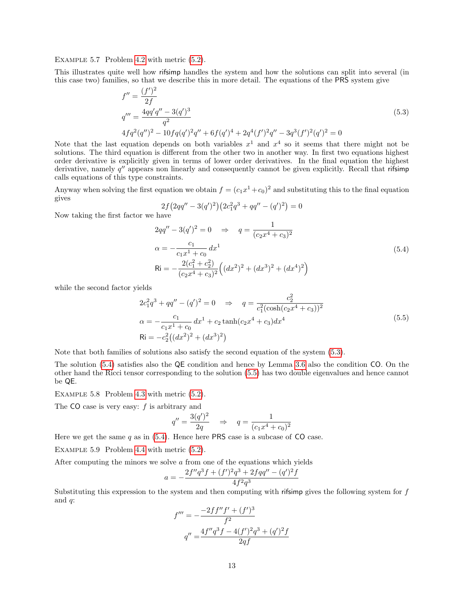EXAMPLE 5.7 Problem [4.2](#page-7-2) with metric  $(5.2)$ .

This illustrates quite well how rifsimp handles the system and how the solutions can split into several (in this case two) families, so that we describe this in more detail. The equations of the PRS system give

$$
f'' = \frac{(f')^2}{2f}
$$
  
\n
$$
q''' = \frac{4qq'q'' - 3(q')^3}{q^2}
$$
  
\n
$$
4fq^2(q'')^2 - 10fq(q')^2q'' + 6f(q')^4 + 2q^4(f')^2q'' - 3q^3(f')^2(q')^2 = 0
$$
\n(5.3)

Note that the last equation depends on both variables  $x^1$  and  $x^4$  so it seems that there might not be solutions. The third equation is different from the other two in another way. In first two equations highest order derivative is explicitly given in terms of lower order derivatives. In the final equation the highest derivative, namely  $q''$  appears non linearly and consequently cannot be given explicitly. Recall that rifsimp calls equations of this type constraints.

Anyway when solving the first equation we obtain  $f = (c_1x^1+c_0)^2$  and substituting this to the final equation gives

<span id="page-12-1"></span><span id="page-12-0"></span>
$$
2f\left(2qq'' - 3(q')^2\right)\left(2c_1^2q^3 + qq'' - (q')^2\right) = 0
$$

Now taking the first factor we have

$$
2qq'' - 3(q')^2 = 0 \Rightarrow q = \frac{1}{(c_2x^4 + c_3)^2}
$$
  
\n
$$
\alpha = -\frac{c_1}{c_1x^1 + c_0} dx^1
$$
  
\n
$$
Ri = -\frac{2(c_1^2 + c_2^2)}{(c_2x^4 + c_3)^2} \Big( (dx^2)^2 + (dx^3)^2 + (dx^4)^2 \Big)
$$
\n(5.4)

while the second factor yields

<span id="page-12-2"></span>
$$
2c_1^2 q^3 + qq'' - (q')^2 = 0 \Rightarrow q = \frac{c_2^2}{c_1^2 (\cosh(c_2 x^4 + c_3))^2}
$$
  
\n
$$
\alpha = -\frac{c_1}{c_1 x^1 + c_0} dx^1 + c_2 \tanh(c_2 x^4 + c_3) dx^4
$$
  
\n
$$
Ri = -c_2^2 ((dx^2)^2 + (dx^3)^2)
$$
\n(5.5)

Note that both families of solutions also satisfy the second equation of the system [\(5.3\)](#page-12-0).

The solution [\(5.4\)](#page-12-1) satisfies also the QE condition and hence by Lemma [3.6](#page-6-1) also the condition CO. On the other hand the Ricci tensor corresponding to the solution [\(5.5\)](#page-12-2) has two double eigenvalues and hence cannot be QE.

Example 5.8 Problem [4.3](#page-8-1) with metric [\(5.2\)](#page-11-0).

The  $CO$  case is very easy:  $f$  is arbitrary and

$$
q'' = \frac{3(q')^2}{2q} \quad \Rightarrow \quad q = \frac{1}{(c_1 x^4 + c_0)^2}
$$

Here we get the same  $q$  as in [\(5.4\)](#page-12-1). Hence here PRS case is a subcase of CO case.

Example 5.9 Problem [4.4](#page-8-2) with metric [\(5.2\)](#page-11-0).

After computing the minors we solve  $\alpha$  from one of the equations which yields

$$
a=-\frac{2f''q^3f+(f')^2q^3+2fqq''-(q')^2f}{4f^2q^3}
$$

Substituting this expression to the system and then computing with rifsimp gives the following system for  $f$ and  $q$ :

$$
f''' = -\frac{-2ff''f' + (f')^3}{f^2}
$$

$$
q'' = \frac{4f''q^3f - 4(f')^2q^3 + (q')^2f}{2qf}
$$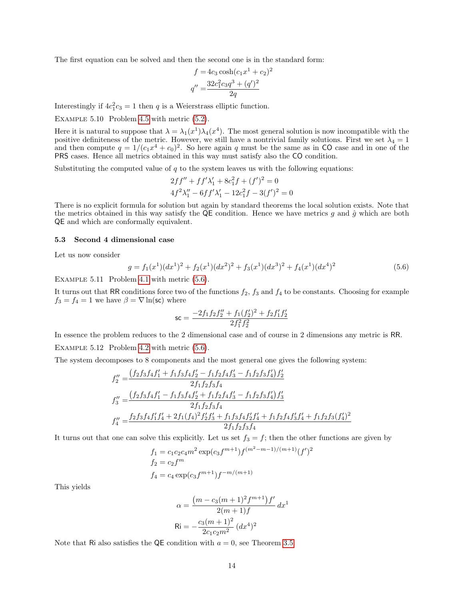The first equation can be solved and then the second one is in the standard form:

$$
f = 4c_3 \cosh(c_1 x^1 + c_2)^2
$$

$$
q'' = \frac{32c_1^2 c_3 q^3 + (q')^2}{2q}
$$

Interestingly if  $4c_1^2c_3 = 1$  then q is a Weierstrass elliptic function.

Example 5.10 Problem [4.5](#page-8-3) with metric [\(5.2\)](#page-11-0).

Here it is natural to suppose that  $\lambda = \lambda_1(x^1)\lambda_4(x^4)$ . The most general solution is now incompatible with the positive definiteness of the metric. However, we still have a nontrivial family solutions. First we set  $\lambda_4 = 1$ and then compute  $q = 1/(c_1x^4 + c_0)^2$ . So here again q must be the same as in CO case and in one of the PRS cases. Hence all metrics obtained in this way must satisfy also the CO condition.

Substituting the computed value of  $q$  to the system leaves us with the following equations:

$$
2ff'' + ff'\lambda'_1 + 8c_1^2f + (f')^2 = 0
$$
  

$$
4f^2\lambda''_1 - 6ff'\lambda'_1 - 12c_1^2f - 3(f')^2 = 0
$$

There is no explicit formula for solution but again by standard theorems the local solution exists. Note that the metrics obtained in this way satisfy the QE condition. Hence we have metrics g and  $\hat{g}$  which are both QE and which are conformally equivalent.

#### 5.3 Second 4 dimensional case

Let us now consider

<span id="page-13-0"></span>
$$
g = f_1(x^1)(dx^1)^2 + f_2(x^1)(dx^2)^2 + f_3(x^1)(dx^3)^2 + f_4(x^1)(dx^4)^2
$$
\n(5.6)

EXAMPLE 5.11 Problem [4.1](#page-7-1) with metric  $(5.6)$ .

It turns out that RR conditions force two of the functions  $f_2$ ,  $f_3$  and  $f_4$  to be constants. Choosing for example  $f_3 = f_4 = 1$  we have  $\beta = \nabla \ln(\text{sc})$  where

$$
\mathsf{sc} = \frac{-2f_1f_2f_2'' + f_1(f_2')^2 + f_2f_1'f_2'}{2f_1^2f_2^2}
$$

In essence the problem reduces to the 2 dimensional case and of course in 2 dimensions any metric is RR.

EXAMPLE 5.12 Problem [4.2](#page-7-2) with metric  $(5.6)$ .

The system decomposes to 8 components and the most general one gives the following system:

$$
f_2'' = \frac{(f_2 f_3 f_4 f_1' + f_1 f_3 f_4 f_2' - f_1 f_2 f_4 f_3' - f_1 f_2 f_3 f_4') f_2'}{2 f_1 f_2 f_3 f_4}
$$
  
\n
$$
f_3'' = \frac{(f_2 f_3 f_4 f_1' - f_1 f_3 f_4 f_2' + f_1 f_2 f_4 f_3' - f_1 f_2 f_3 f_4') f_3'}{2 f_1 f_2 f_3 f_4}
$$
  
\n
$$
f_4'' = \frac{f_2 f_3 f_4 f_1' f_4' + 2 f_1 (f_4)^2 f_2' f_3' + f_1 f_3 f_4 f_2' f_4' + f_1 f_2 f_4 f_3' f_4' + f_1 f_2 f_3 (f_4')^2}{2 f_1 f_2 f_3 f_4}
$$

It turns out that one can solve this explicitly. Let us set  $f_3 = f$ ; then the other functions are given by

$$
f_1 = c_1 c_2 c_4 m^2 \exp(c_3 f^{m+1}) f^{(m^2 - m - 1)/(m+1)} (f')^2
$$
  
\n
$$
f_2 = c_2 f^m
$$
  
\n
$$
f_4 = c_4 \exp(c_3 f^{m+1}) f^{-m/(m+1)}
$$

This yields

$$
\alpha = \frac{(m - c_3(m+1)^2 f^{m+1}) f'}{2(m+1) f} dx^1
$$

$$
\text{Ri} = -\frac{c_3(m+1)^2}{2c_1c_2m^2} (dx^4)^2
$$

Note that Ri also satisfies the QE condition with  $a = 0$ , see Theorem [3.5.](#page-6-0)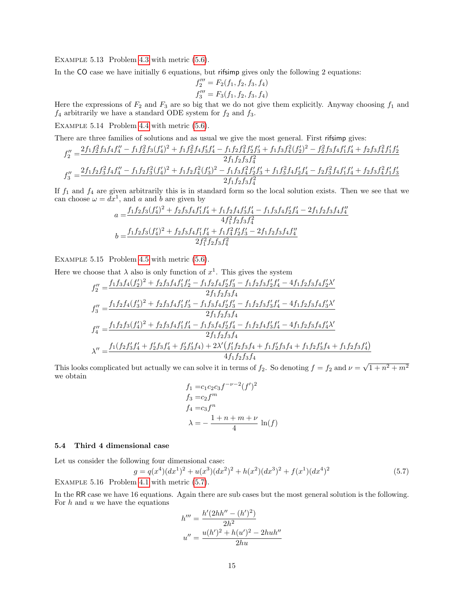EXAMPLE 5.13 Problem [4.3](#page-8-1) with metric  $(5.6)$ .

In the CO case we have initially 6 equations, but rifsimp gives only the following 2 equations:

$$
f_2''' = F_2(f_1, f_2, f_3, f_4)
$$
  

$$
f_3''' = F_3(f_1, f_2, f_3, f_4)
$$

Here the expressions of  $F_2$  and  $F_3$  are so big that we do not give them explicitly. Anyway choosing  $f_1$  and  $f_4$  arbitrarily we have a standard ODE system for  $f_2$  and  $f_3$ .

EXAMPLE 5.14 Problem [4.4](#page-8-2) with metric  $(5.6)$ .

There are three families of solutions and as usual we give the most general. First rifsimp gives:

$$
f_2'' = \frac{2f_1f_2^2f_3f_4f_4'' - f_1f_2^2f_3(f_4')^2 + f_1f_2^2f_4f_3'f_4' - f_1f_2f_4^2f_2'f_3' + f_1f_3f_4^2(f_2')^2 - f_2^2f_3f_4f_1'f_4' + f_2f_3f_4^2f_1'f_2'}{2f_1f_2f_3f_4^2}
$$
  
\n
$$
f_3'' = \frac{2f_1f_2f_3^2f_4f_4'' - f_1f_2f_3^2(f_4')^2 + f_1f_2f_4^2(f_3')^2 - f_1f_3f_4^2f_2'f_3' + f_1f_3^2f_4f_2'f_4' - f_2f_3^2f_4f_1'f_4' + f_2f_3f_4^2f_1'f_3'}{2f_1f_2f_3f_4^2}
$$

If  $f_1$  and  $f_4$  are given arbitrarily this is in standard form so the local solution exists. Then we see that we can choose  $\omega = dx^1$ , and a and b are given by

$$
a = \frac{f_1 f_2 f_3 (f_4')^2 + f_2 f_3 f_4 f_1' f_4' + f_1 f_2 f_4 f_3' f_4' - f_1 f_3 f_4 f_2' f_4' - 2 f_1 f_2 f_3 f_4 f_4''}{4 f_1^2 f_2 f_3 f_4^2}
$$
  

$$
b = \frac{f_1 f_2 f_3 (f_4')^2 + f_2 f_3 f_4 f_1' f_4' + f_1 f_4^2 f_2' f_3' - 2 f_1 f_2 f_3 f_4 f_4''}{2 f_1^2 f_2 f_3 f_4^2}
$$

Example 5.15 Problem [4.5](#page-8-3) with metric [\(5.6\)](#page-13-0).

Here we choose that  $\lambda$  also is only function of  $x^1$ . This gives the system

$$
f_2'' = \frac{f_1 f_3 f_4 (f_2')^2 + f_2 f_3 f_4 f_1' f_2' - f_1 f_2 f_4 f_2' f_3' - f_1 f_2 f_3 f_2' f_4' - 4 f_1 f_2 f_3 f_4 f_2' \lambda'}{2 f_1 f_2 f_3 f_4}
$$
  
\n
$$
f_3'' = \frac{f_1 f_2 f_4 (f_3')^2 + f_2 f_3 f_4 f_1' f_3' - f_1 f_3 f_4 f_2' f_3' - f_1 f_2 f_3 f_3' f_4' - 4 f_1 f_2 f_3 f_4 f_3' \lambda'}{2 f_1 f_2 f_3 f_4}
$$
  
\n
$$
f_4'' = \frac{f_1 f_2 f_3 (f_4')^2 + f_2 f_3 f_4 f_1' f_4' - f_1 f_3 f_4 f_2' f_4' - f_1 f_2 f_4 f_3' f_4' - 4 f_1 f_2 f_3 f_4 f_4' \lambda'}{2 f_1 f_2 f_3 f_4}
$$
  
\n
$$
\lambda'' = \frac{f_1 (f_2 f_3' f_4' + f_2' f_3 f_4' + f_2' f_3' f_4) + 2 \lambda' (f_1' f_2 f_3 f_4 + f_1 f_2' f_3' f_4 + f_1 f_2 f_3' f_4' + f_1 f_2 f_3 f_4' \lambda'}{4 f_1 f_2 f_3 f_4}
$$

This looks complicated but actually we can solve it in terms of  $f_2$ . So denoting  $f = f_2$  and  $\nu =$  $\sqrt{1+n^2+m^2}$ we obtain

$$
f_1 = c_1 c_2 c_3 f^{-\nu - 2} (f')^2
$$
  
\n
$$
f_3 = c_2 f^m
$$
  
\n
$$
f_4 = c_3 f^n
$$
  
\n
$$
\lambda = -\frac{1 + n + m + \nu}{4} \ln(f)
$$

#### 5.4 Third 4 dimensional case

Let us consider the following four dimensional case:

$$
g = q(x^4)(dx^1)^2 + u(x^3)(dx^2)^2 + h(x^2)(dx^3)^2 + f(x^1)(dx^4)^2
$$
\n(5.7)  
\nEXAMPLE 5.16 Problem 4.1 with metric (5.7).

In the RR case we have 16 equations. Again there are sub cases but the most general solution is the following. For  $h$  and  $u$  we have the equations

<span id="page-14-0"></span>
$$
h''' = \frac{h'(2hh'' - (h')^{2})}{2h^{2}}
$$

$$
u'' = \frac{u(h')^{2} + h(u')^{2} - 2huh''}{2hu}
$$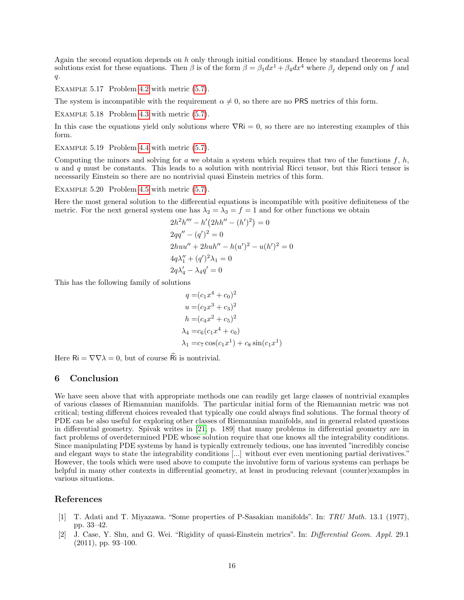Again the second equation depends on  $h$  only through initial conditions. Hence by standard theorems local solutions exist for these equations. Then  $\beta$  is of the form  $\beta = \beta_1 dx^1 + \beta_4 dx^4$  where  $\beta_i$  depend only on f and  $q$ .

EXAMPLE 5.17 Problem [4.2](#page-7-2) with metric  $(5.7)$ .

The system is incompatible with the requirement  $\alpha \neq 0$ , so there are no PRS metrics of this form.

EXAMPLE  $5.18$  Problem  $4.3$  with metric  $(5.7)$ .

In this case the equations yield only solutions where  $\nabla Ri = 0$ , so there are no interesting examples of this form.

EXAMPLE  $5.19$  Problem [4.4](#page-8-2) with metric  $(5.7)$ .

Computing the minors and solving for a we obtain a system which requires that two of the functions  $f, h$ , u and q must be constants. This leads to a solution with nontrivial Ricci tensor, but this Ricci tensor is necessarily Einstein so there are no nontrivial quasi Einstein metrics of this form.

EXAMPLE  $5.20$  Problem  $4.5$  with metric  $(5.7)$ .

Here the most general solution to the differential equations is incompatible with positive definiteness of the metric. For the next general system one has  $\lambda_2 = \lambda_3 = f = 1$  and for other functions we obtain

$$
2h2h''' - h'\left(2hh'' - (h')2\right) = 0
$$
  
\n
$$
2qq'' - (q')2 = 0
$$
  
\n
$$
2huu'' + 2huh'' - h(u')2 - u(h')2 = 0
$$
  
\n
$$
4q\lambda_1'' + (q')2\lambda_1 = 0
$$
  
\n
$$
2q\lambda_4' - \lambda_4q' = 0
$$

This has the following family of solutions

$$
q = (c_1 x^4 + c_0)^2
$$
  
\n
$$
u = (c_2 x^3 + c_3)^2
$$
  
\n
$$
h = (c_4 x^2 + c_5)^2
$$
  
\n
$$
\lambda_4 = c_6 (c_1 x^4 + c_0)
$$
  
\n
$$
\lambda_1 = c_7 \cos(c_1 x^1) + c_8 \sin(c_1 x^1)
$$

Here  $\mathsf{R} = \nabla \nabla \lambda = 0$ , but of course  $\widehat{\mathsf{R}}$  is nontrivial.

# 6 Conclusion

We have seen above that with appropriate methods one can readily get large classes of nontrivial examples of various classes of Riemannian manifolds. The particular initial form of the Riemannian metric was not critical; testing different choices revealed that typically one could always find solutions. The formal theory of PDE can be also useful for exploring other classes of Riemannian manifolds, and in general related questions in differential geometry. Spivak writes in [\[21,](#page-16-18) p. 189] that many problems in differential geometry are in fact problems of overdetermined PDE whose solution require that one knows all the integrability conditions. Since manipulating PDE systems by hand is typically extremely tedious, one has invented "incredibly concise and elegant ways to state the integrability conditions [...] without ever even mentioning partial derivatives." However, the tools which were used above to compute the involutive form of various systems can perhaps be helpful in many other contexts in differential geometry, at least in producing relevant (counter)examples in various situations.

## References

- <span id="page-15-0"></span>[1] T. Adati and T. Miyazawa. "Some properties of P-Sasakian manifolds". In: TRU Math. 13.1 (1977), pp. 33–42.
- <span id="page-15-1"></span>[2] J. Case, Y. Shu, and G. Wei. "Rigidity of quasi-Einstein metrics". In: Differential Geom. Appl. 29.1  $(2011)$ , pp. 93-100.